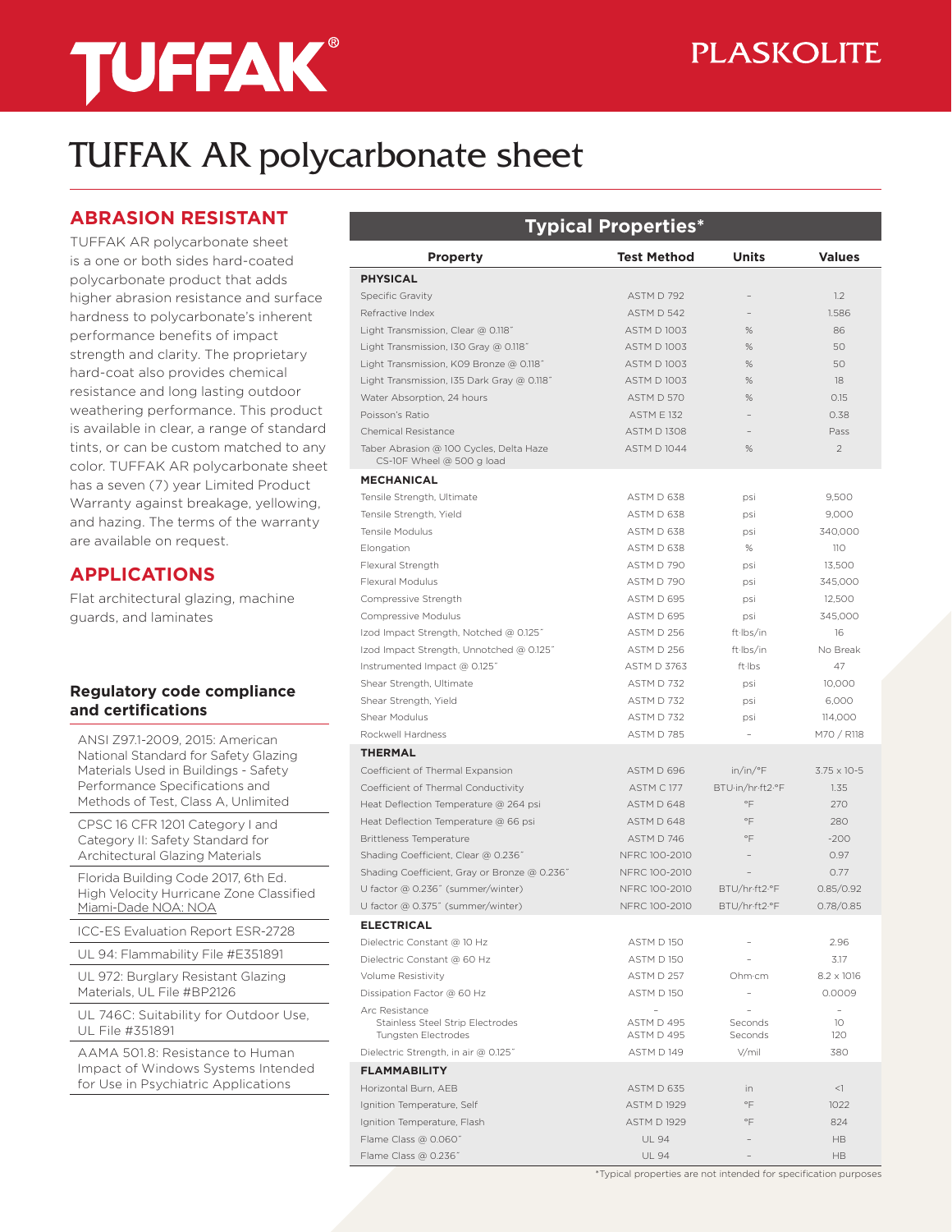# **TUFFAK®**

# TUFFAK AR polycarbonate sheet

### **ABRASION RESISTANT**

TUFFAK AR polycarbonate sheet is a one or both sides hard-coated polycarbonate product that adds higher abrasion resistance and surface hardness to polycarbonate's inherent performance benefits of impact strength and clarity. The proprietary hard-coat also provides chemical resistance and long lasting outdoor weathering performance. This product is available in clear, a range of standard tints, or can be custom matched to any color. TUFFAK AR polycarbonate sheet has a seven (7) year Limited Product Warranty against breakage, yellowing, and hazing. The terms of the warranty are available on request.

## **APPLICATIONS**

Flat architectural glazing, machine guards, and laminates

#### **Regulatory code compliance and certifications**

ANSI Z97.1-2009, 2015: American National Standard for Safety Glazing Materials Used in Buildings - Safety Performance Specifications and Methods of Test, Class A, Unlimited

CPSC 16 CFR 1201 Category I and Category II: Safety Standard for Architectural Glazing Materials

Florida Building Code 2017, 6th Ed. High Velocity Hurricane Zone Classified Miami-Dade NOA: NOA

ICC-ES Evaluation Report ESR-2728

UL 94: Flammability File #E351891

UL 972: Burglary Resistant Glazing Materials, UL File #BP2126

UL 746C: Suitability for Outdoor Use, UL File #351891

AAMA 501.8: Resistance to Human Impact of Windows Systems Intended for Use in Psychiatric Applications

| <b>Typical Properties*</b>                                                              |                          |                    |                             |  |
|-----------------------------------------------------------------------------------------|--------------------------|--------------------|-----------------------------|--|
| <b>Property</b>                                                                         | <b>Test Method</b>       | <b>Units</b>       | <b>Values</b>               |  |
| <b>PHYSICAL</b>                                                                         |                          |                    |                             |  |
| <b>Specific Gravity</b>                                                                 | ASTM D 792               |                    | 1.2                         |  |
| Refractive Index                                                                        | ASTM D 542               |                    | 1.586                       |  |
| Light Transmission, Clear @ 0.118"                                                      | <b>ASTM D 1003</b>       | %                  | 86                          |  |
| Light Transmission, I30 Gray @ 0.118"                                                   | <b>ASTM D1003</b>        | %                  | 50                          |  |
| Light Transmission, K09 Bronze @ 0.118"                                                 | <b>ASTM D 1003</b>       | %                  | 50                          |  |
| Light Transmission, I35 Dark Gray @ 0.118"                                              | <b>ASTM D 1003</b>       | %                  | 18                          |  |
| Water Absorption, 24 hours                                                              | ASTM D 570               | %                  | 0.15                        |  |
| Poisson's Ratio                                                                         | <b>ASTM F 132</b>        |                    | 0.38                        |  |
| Chemical Resistance                                                                     | <b>ASTM D1308</b>        |                    | Pass                        |  |
| Taber Abrasion @ 100 Cycles, Delta Haze<br>CS-10F Wheel @ 500 g load                    | ASTM D 1044              | $\%$               | $\overline{2}$              |  |
| <b>MECHANICAL</b>                                                                       |                          |                    |                             |  |
| Tensile Strength, Ultimate                                                              | ASTM D 638               | psi                | 9,500                       |  |
| Tensile Strength, Yield                                                                 | ASTM D 638               | psi                | 9,000                       |  |
| <b>Tensile Modulus</b>                                                                  | ASTM D 638               | psi                | 340,000                     |  |
| Elongation                                                                              | ASTM D 638               | %                  | 110                         |  |
| Flexural Strength                                                                       | ASTM D 790               | psi                | 13,500                      |  |
| Flexural Modulus                                                                        | ASTM D 790               | psi                | 345,000                     |  |
| Compressive Strength                                                                    | ASTM D 695               | psi                | 12.500                      |  |
| Compressive Modulus                                                                     | ASTM D 695               | psi                | 345,000                     |  |
| Izod Impact Strength, Notched @ 0.125"                                                  | ASTM D 256               | ft-Ibs/in          | 16                          |  |
| Izod Impact Strength, Unnotched @ 0.125"                                                | ASTM D 256               | ft-Ibs/in          | No Break                    |  |
| Instrumented Impact @ 0.125"                                                            | <b>ASTM D 3763</b>       | ft-lbs             | 47                          |  |
| Shear Strength, Ultimate                                                                | ASTM D 732               | psi                | 10,000                      |  |
| Shear Strength, Yield                                                                   | ASTM D 732               | psi                | 6,000                       |  |
| Shear Modulus                                                                           | ASTM D 732               | psi                | 114,000                     |  |
| Rockwell Hardness                                                                       | <b>ASTM D 785</b>        |                    | M70 / R118                  |  |
| <b>THERMAL</b>                                                                          |                          |                    |                             |  |
| Coefficient of Thermal Expansion                                                        | ASTM D 696               | in/in/°F           | $3.75 \times 10-5$          |  |
| Coefficient of Thermal Conductivity                                                     | ASTM C177                | BTU·in/hr·ft2·°F   | 1.35                        |  |
| Heat Deflection Temperature @ 264 psi                                                   | ASTM D 648               | $\circ \vDash$     | 270                         |  |
| Heat Deflection Temperature @ 66 psi                                                    | ASTM D 648               | $\circ \vDash$     | 280                         |  |
| <b>Brittleness Temperature</b>                                                          | ASTM D 746               | $\circ \vDash$     | $-200$                      |  |
| Shading Coefficient, Clear @ 0.236"                                                     | NFRC 100-2010            |                    | 0.97                        |  |
| Shading Coefficient, Gray or Bronze @ 0.236"                                            | NFRC 100-2010            |                    | 0.77                        |  |
| U factor @ 0.236" (summer/winter)                                                       | NFRC 100-2010            | BTU/hr-ft2-°F      | 0.85/0.92                   |  |
| U factor @ 0.375" (summer/winter)                                                       | NFRC 100-2010            | BTU/hr·ft2·°F      | 0.78/0.85                   |  |
| <b>ELECTRICAL</b>                                                                       |                          |                    |                             |  |
| Dielectric Constant @ 10 Hz                                                             | ASTM D 150               |                    | 2.96                        |  |
| Dielectric Constant @ 60 Hz                                                             | ASTM D 150               |                    | 3.17                        |  |
| Volume Resistivity                                                                      | ASTM D 257               | Ohm·cm             | $8.2 \times 1016$           |  |
| Dissipation Factor @ 60 Hz                                                              | <b>ASTM D 150</b>        |                    | 0.0009                      |  |
| Arc Resistance<br><b>Stainless Steel Strip Electrodes</b><br><b>Tungsten Electrodes</b> | ASTM D 495<br>ASTM D 495 | Seconds<br>Seconds | $\overline{a}$<br>10<br>120 |  |
| Dielectric Strength, in air @ 0.125"                                                    | ASTM D149                | V/mil              | 380                         |  |
| <b>FLAMMABILITY</b>                                                                     |                          |                    |                             |  |
| Horizontal Burn, AEB                                                                    | ASTM D 635               | in                 | $<$ 1                       |  |
| Ignition Temperature, Self                                                              | <b>ASTM D 1929</b>       | $\circ \vDash$     | 1022                        |  |
| Ignition Temperature, Flash                                                             | <b>ASTM D 1929</b>       | $\circ \vDash$     | 824                         |  |
| Flame Class @ 0.060"                                                                    | <b>UL 94</b>             |                    | <b>HB</b>                   |  |

Flame Class @ 0.236˝ UL 94 – HB

\*Typical properties are not intended for specification purposes